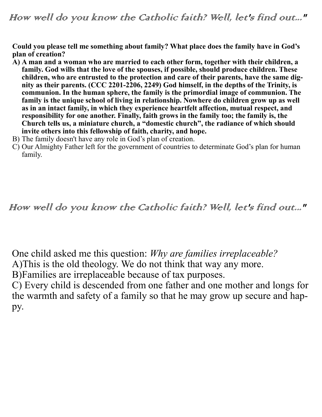**Could you please tell me something about family? What place does the family have in God's plan of creation?** 

- **A) A man and a woman who are married to each other form, together with their children, a family. God wills that the love of the spouses, if possible, should produce children. These children, who are entrusted to the protection and care of their parents, have the same dignity as their parents. (CCC 2201-2206, 2249) God himself, in the depths of the Trinity, is communion. In the human sphere, the family is the primordial image of communion. The family is the unique school of living in relationship. Nowhere do children grow up as well as in an intact family, in which they experience heartfelt affection, mutual respect, and responsibility for one another. Finally, faith grows in the family too; the family is, the Church tells us, a miniature church, a "domestic church", the radiance of which should invite others into this fellowship of faith, charity, and hope.**
- B) The family doesn't have any role in God's plan of creation.
- C) Our Almighty Father left for the government of countries to determinate God's plan for human family.

How well do you know the Catholic faith? Well, let's find out..."

One child asked me this question: *Why are families irreplaceable?*

A)This is the old theology. We do not think that way any more.

B)Families are irreplaceable because of tax purposes.

C) Every child is descended from one father and one mother and longs for the warmth and safety of a family so that he may grow up secure and happy.